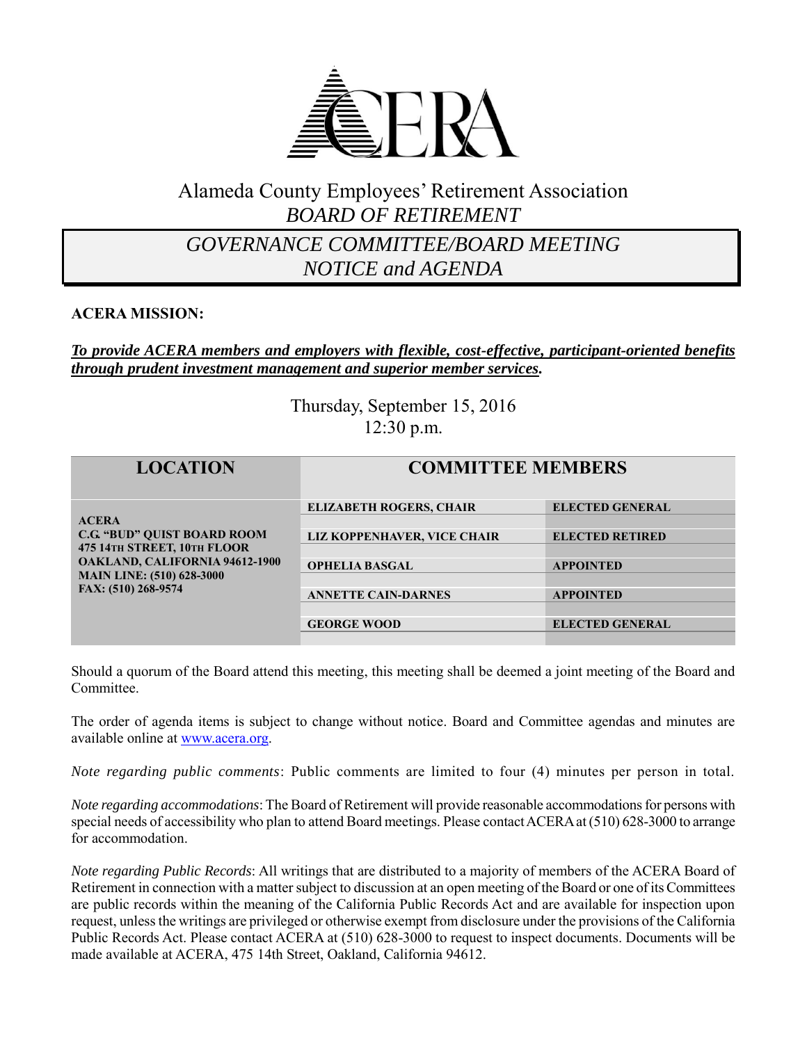

# Alameda County Employees' Retirement Association *BOARD OF RETIREMENT*

# *GOVERNANCE COMMITTEE/BOARD MEETING NOTICE and AGENDA*

#### **ACERA MISSION:**

#### *To provide ACERA members and employers with flexible, cost-effective, participant-oriented benefits through prudent investment management and superior member services.*

Thursday, September 15, 2016 12:30 p.m.

| <b>LOCATION</b>                                                                                                                                                                       | <b>COMMITTEE MEMBERS</b>                                      |                                                  |
|---------------------------------------------------------------------------------------------------------------------------------------------------------------------------------------|---------------------------------------------------------------|--------------------------------------------------|
| <b>ACERA</b><br><b>C.G. "BUD" OUIST BOARD ROOM</b><br>475 14TH STREET, 10TH FLOOR<br><b>OAKLAND, CALIFORNIA 94612-1900</b><br><b>MAIN LINE: (510) 628-3000</b><br>FAX: (510) 268-9574 | <b>ELIZABETH ROGERS, CHAIR</b><br>LIZ KOPPENHAVER, VICE CHAIR | <b>ELECTED GENERAL</b><br><b>ELECTED RETIRED</b> |
|                                                                                                                                                                                       | <b>OPHELIA BASGAL</b>                                         | <b>APPOINTED</b>                                 |
|                                                                                                                                                                                       | <b>ANNETTE CAIN-DARNES</b><br><b>GEORGE WOOD</b>              | <b>APPOINTED</b><br><b>ELECTED GENERAL</b>       |

Should a quorum of the Board attend this meeting, this meeting shall be deemed a joint meeting of the Board and Committee.

The order of agenda items is subject to change without notice. Board and Committee agendas and minutes are available online at [www.acera.org.](http://www.acera.org/)

*Note regarding public comments*: Public comments are limited to four (4) minutes per person in total.

*Note regarding accommodations*: The Board of Retirement will provide reasonable accommodations for persons with special needs of accessibility who plan to attend Board meetings. Please contact ACERA at (510) 628-3000 to arrange for accommodation.

*Note regarding Public Records*: All writings that are distributed to a majority of members of the ACERA Board of Retirement in connection with a matter subject to discussion at an open meeting of the Board or one of its Committees are public records within the meaning of the California Public Records Act and are available for inspection upon request, unless the writings are privileged or otherwise exempt from disclosure under the provisions of the California Public Records Act. Please contact ACERA at (510) 628-3000 to request to inspect documents. Documents will be made available at ACERA, 475 14th Street, Oakland, California 94612.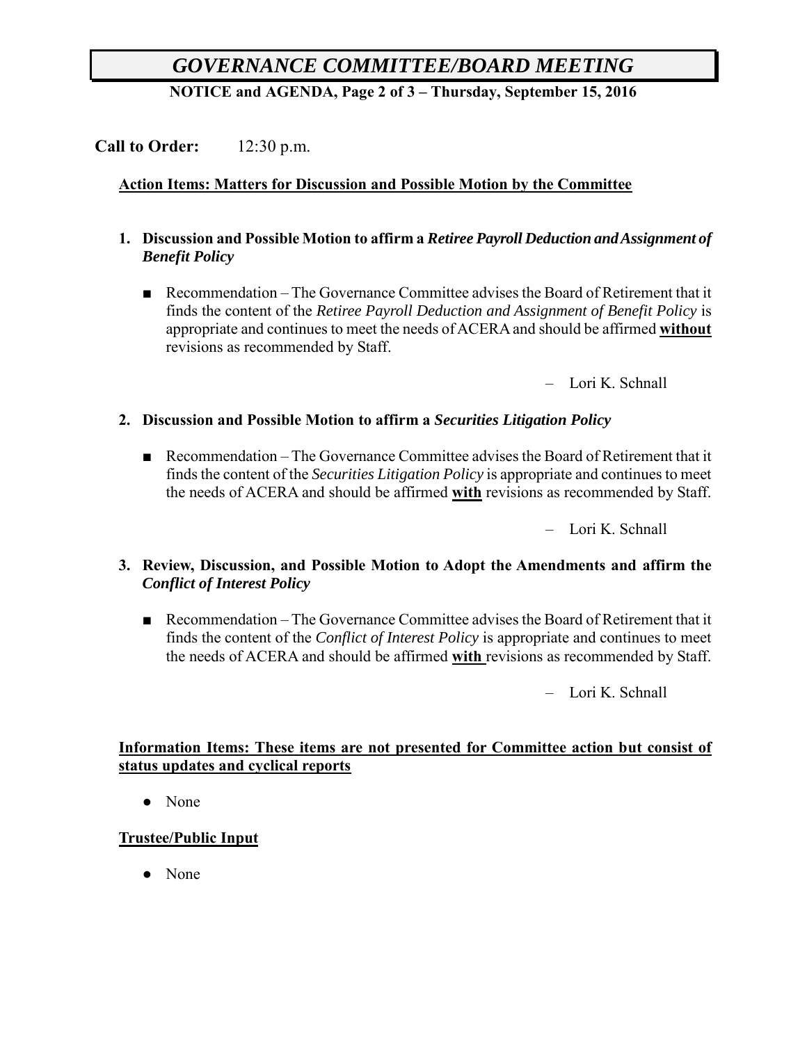# *GOVERNANCE COMMITTEE/BOARD MEETING*

**NOTICE and AGENDA, Page 2 of 3 – Thursday, September 15, 2016**

## **Call to Order:** 12:30 p.m.

## **Action Items: Matters for Discussion and Possible Motion by the Committee**

- **1. Discussion and Possible Motion to affirm a** *Retiree Payroll Deduction and Assignment of Benefit Policy*
	- Recommendation The Governance Committee advises the Board of Retirement that it finds the content of the *Retiree Payroll Deduction and Assignment of Benefit Policy* is appropriate and continues to meet the needs of ACERA and should be affirmed **without** revisions as recommended by Staff.

– Lori K. Schnall

#### **2. Discussion and Possible Motion to affirm a** *Securities Litigation Policy*

■ Recommendation – The Governance Committee advises the Board of Retirement that it finds the content of the *Securities Litigation Policy* is appropriate and continues to meet the needs of ACERA and should be affirmed **with** revisions as recommended by Staff.

– Lori K. Schnall

#### **3. Review, Discussion, and Possible Motion to Adopt the Amendments and affirm the**  *Conflict of Interest Policy*

■ Recommendation – The Governance Committee advises the Board of Retirement that it finds the content of the *Conflict of Interest Policy* is appropriate and continues to meet the needs of ACERA and should be affirmed **with** revisions as recommended by Staff.

– Lori K. Schnall

#### **Information Items: These items are not presented for Committee action but consist of status updates and cyclical reports**

• None

## **Trustee/Public Input**

• None